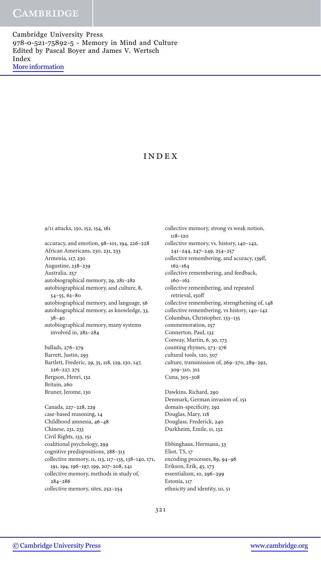Cambridge University Press 978-0-521-75892-5 - Memory in Mind and Culture Edited by Pascal Boyer and James V. Wertsch Index [More information](http://www.cambridge.org/9780521758925)

# Index

118–120

accuracy, and emotion, 98–101, 194, 226–228 African Americans, 230, 231, 233 Armenia, 117, 230 Augustine, 238–239 Australia, 257 autobiographical memory, 29, 281–282 autobiographical memory, and culture, 8, 54–55, 62–80 autobiographical memory, and language, 56 autobiographical memory, as knowledge, 33, 38–40 autobiographical memory, many systems involved in, 282–284 ballads, 276–279 Barrett, Justin, 293 Bartlett, Frederic, 29, 35, 118, 129, 130, 147, 226–227, 275 Bergson, Henri, 132 Britain, 260 Bruner, Jerome, 130 Canada, 227–228, 229 case-based reasoning, 14 Childhood amnesia, 46–48 Chinese, 231, 233 Civil Rights, 133, 151 coalitional psychology, 299 cognitive predispositions, 288–313 collective memory, 11, 113, 117–135, 138–140, 171, 191, 194, 196–197, 199, 207–208, 241 collective memory, methods in study of, 284–286

9/11 attacks, 150, 152, 154, 161

241–244, 247–249, 254–257 collective remembering, and acuracy, 139ff, 162–164 collective remembering, and feedback, 160–162 collective remembering, and repeated retrieval, 150ff collective remembering, strengthening of, 148 collective remembering, vs history, 140–142 Columbus, Christopher, 133–135 commemoration, 257 Connerton, Paul, 132 Conway, Martin, 6, 30, 173 counting rhymes, 273–276 cultural tools, 120, 307 culture, transmission of, 269–270, 289–292, 309–310, 312 Cuna, 305–308 Dawkins, Richard, 290 Denmark, German invasion of, 151 domain-specificity, 292 Douglas, Mary, 118

collective memory, strong vs weak notion,

collective memory, vs. history, 140–142,

Douglass, Frederick, 240 Durkheim, Emile, 11, 132 Ebbinghaus, Hermann, 33 Eliot, TS, 17 encoding processes, 89, 94–96 Erikson, Erik, 45, 173 essentialism, 10, 296–299 Estonia, 117 ethnicity and identity, 10, 51

321

collective memory, sites, 252–254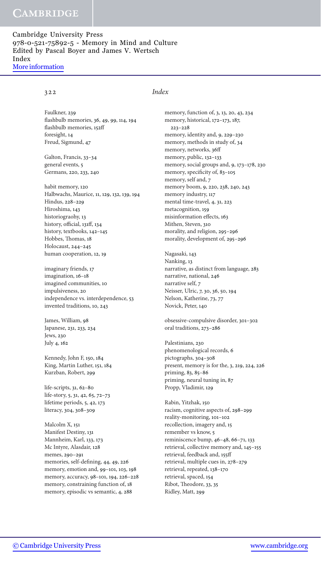Cambridge University Press 978-0-521-75892-5 - Memory in Mind and Culture Edited by Pascal Boyer and James V. Wertsch Index [More information](http://www.cambridge.org/9780521758925)

## 322 *Index*

Faulkner, 239 flashbulb memories, 36, 49, 99, 114, 194 flashbulb memories, 152ff foresight, 14 Freud, Sigmund, 47

Galton, Francis, 33–34 general events, 5 Germans, 220, 233, 240

habit memory, 120 Halbwachs, Maurice, 11, 129, 132, 139, 194 Hindus, 228–229 Hiroshima, 143 historiograohy, 13 history, official, 131ff, 134 history, textbooks, 142–145 Hobbes, Thomas, 18 Holocaust, 244–245 human cooperation, 12, 19

imaginary friends, 17 imagination, 16–18 imagined communities, 10 impulsiveness, 20 independence vs. interdependence, 53 invented traditions, 10, 243

James, William, 98 Japanese, 231, 233, 234 Jews, 230 July 4, 162

Kennedy, John F, 150, 184 King, Martin Luther, 151, 184 Kurzban, Robert, 299

life-scripts, 31, 62–80 life-story, 5, 31, 42, 65, 72–73 lifetime periods, 5, 42, 173 literacy, 304, 308–309

Malcolm X, 151 Manifest Destiny, 131 Mannheim, Karl, 133, 173 Mc Intyre, Alasdair, 128 memes, 290–291 memories, self-defining, 44, 49, 226 memory, emotion and, 99–101, 103, 198 memory, accuracy, 98–101, 194, 226–228 memory, constraining function of, 18 memory, episodic vs semantic, 4, 288

memory, function of, 3, 13, 20, 43, 234 memory, historical, 172–173, 187, 223–228 memory, identity and, 9, 229–230 memory, methods in study of, 34 memory, networks, 36ff memory, public, 132–133 memory, social groups and, 9, 173–178, 230 memory, specificity of, 83–105 memory, self and, 7 memory boom, 9, 220, 238, 240, 243 memory industry, 117 mental time-travel, 4, 31, 223 metacognition, 159 misinformation effects, 163 Mithen, Steven, 310 morality, and religion, 295–296 morality, development of, 295–296

Nagasaki, 143 Nanking, 13 narrative, as distinct from language, 283 narrative, national, 246 narrative self, 7 Neisser, Ulric, 7, 30, 36, 50, 194 Nelson, Katherine, 73, 77 Novick, Peter, 140

obsessive-compulsive disorder, 301–302 oral traditions, 273–286

Palestinians, 230 phenomenological records, 6 pictographs, 304–308 present, memory is for the, 3, 219, 224, 226 priming, 83, 85–86 priming, neural tuning in, 87 Propp, Vladimir, 129

Rabin, Yitzhak, 150 racism, cognitive aspects of, 298–299 reality-monitoring, 101–102 recollection, imagery and, 15 remember vs know, 5 reminiscence bump, 46–48, 66–71, 133 retrieval, collective memory and, 145–155 retrieval, feedback and, 155ff retrieval, multiple cues in, 278–279 retrieval, repeated, 138–170 retrieval, spaced, 154 Ribot, Theodore, 33, 35 Ridley, Matt, 299